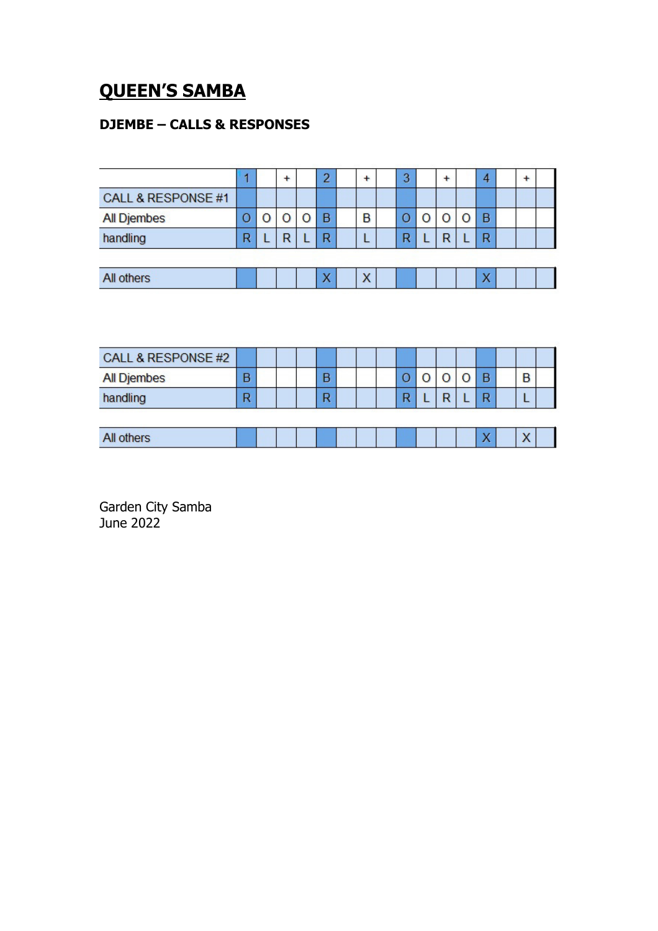#### **QUEEN'S SAMBA**

#### **DJEMBE – CALLS & RESPONSES**

|                    |   | + | 2            | $\ddot{}$ | 3 | $\ddot{}$ | 4 | $\ddot{}$ |  |
|--------------------|---|---|--------------|-----------|---|-----------|---|-----------|--|
| CALL & RESPONSE #1 |   |   |              |           |   |           |   |           |  |
| <b>All Djembes</b> | U |   | B            | B         |   |           | B |           |  |
| handling           | R | R | R            |           | R | R         | R |           |  |
|                    |   |   |              |           |   |           |   |           |  |
| All others         |   |   | $\mathbf{v}$ | X         |   |           | v |           |  |

| CALL & RESPONSE #2 |   |  |   |  |   |   |                |           |  |
|--------------------|---|--|---|--|---|---|----------------|-----------|--|
| <b>All Djembes</b> | В |  | B |  |   |   | D              | B         |  |
| handling           | n |  | R |  | n | D | D              |           |  |
|                    |   |  |   |  |   |   |                |           |  |
| All others         |   |  |   |  |   |   | $\overline{ }$ | $\lambda$ |  |

Garden City Samba June 2022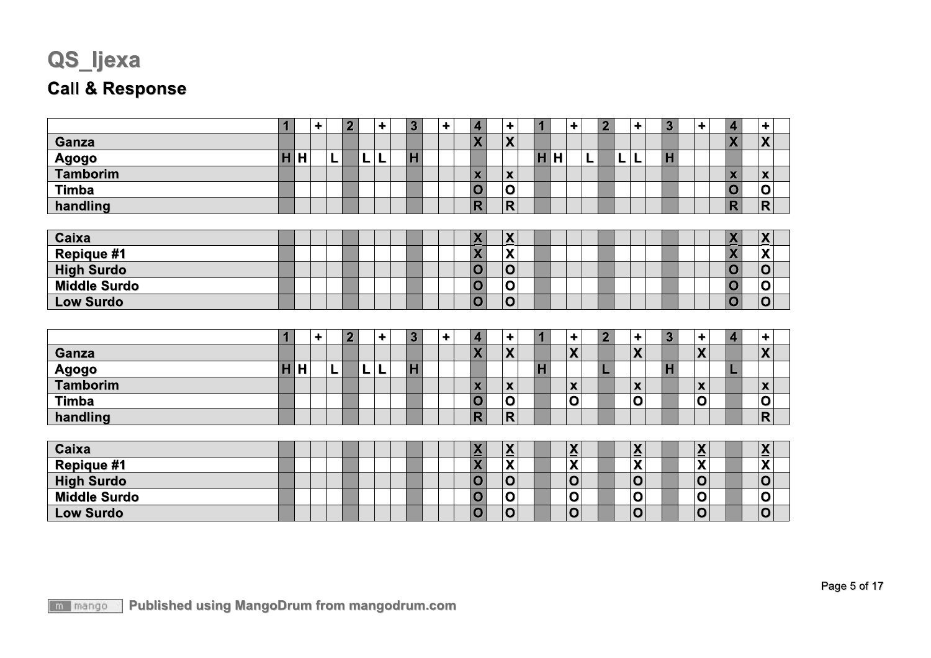# QS\_ljexa

#### **Call & Response**

|                     | 1 |   | ٠         |   | $\overline{2}$ |    | ٠                    |                | 3                       | ٠ | 4                               | ٠                                   | $\blacksquare$          |   | ٠                        |   | $\overline{2}$ |   | ٠                        | $\overline{\mathbf{3}}$ | $\ddot{}$                 | 4                               | $\ddot{}$                           |  |
|---------------------|---|---|-----------|---|----------------|----|----------------------|----------------|-------------------------|---|---------------------------------|-------------------------------------|-------------------------|---|--------------------------|---|----------------|---|--------------------------|-------------------------|---------------------------|---------------------------------|-------------------------------------|--|
| Ganza               |   |   |           |   |                |    |                      |                |                         |   | $\overline{\mathsf{X}}$         | $\boldsymbol{\mathsf{X}}$           |                         |   |                          |   |                |   |                          |                         |                           | $\overline{\mathbf{X}}$         | $\overline{\mathbf{X}}$             |  |
| Agogo               | H | H |           | Г |                |    | L                    | $\overline{H}$ |                         |   |                                 |                                     | H                       | H |                          | L |                | L | L                        | H                       |                           |                                 |                                     |  |
| <b>Tamborim</b>     |   |   |           |   |                |    |                      |                |                         |   | $\mathbf x$                     | $\boldsymbol{\mathsf{x}}$           |                         |   |                          |   |                |   |                          |                         |                           | $\boldsymbol{\mathsf{x}}$       | $\pmb{\mathsf{x}}$                  |  |
| <b>Timba</b>        |   |   |           |   |                |    |                      |                |                         |   | $\overline{O}$                  | $\mathbf 0$                         |                         |   |                          |   |                |   |                          |                         |                           | $\mathbf 0$                     | $\overline{\mathbf{o}}$             |  |
| handling            |   |   |           |   |                |    |                      |                |                         |   | $\overline{\mathsf{R}}$         | $\overline{\mathsf{R}}$             |                         |   |                          |   |                |   |                          |                         |                           | $\overline{\mathsf{R}}$         | $\overline{\mathsf{R}}$             |  |
|                     |   |   |           |   |                |    |                      |                |                         |   |                                 |                                     |                         |   |                          |   |                |   |                          |                         |                           |                                 |                                     |  |
| Caixa               |   |   |           |   |                |    |                      |                |                         |   | $\underline{\mathbf{X}}$        | $\frac{\overline{X}}{\overline{X}}$ |                         |   |                          |   |                |   |                          |                         |                           | $\frac{\mathbf{X}}{\mathbf{X}}$ | $\frac{\overline{X}}{\overline{X}}$ |  |
| Repique #1          |   |   |           |   |                |    |                      |                |                         |   | $\overline{\mathsf{X}}$         |                                     |                         |   |                          |   |                |   |                          |                         |                           |                                 |                                     |  |
| <b>High Surdo</b>   |   |   |           |   |                |    |                      |                |                         |   | $\mathbf O$                     | $\mathbf 0$                         |                         |   |                          |   |                |   |                          |                         |                           | $\overline{O}$                  | $\overline{\mathbf{o}}$             |  |
| <b>Middle Surdo</b> |   |   |           |   |                |    |                      |                |                         |   | $\mathbf O$                     | $\overline{\mathbf{o}}$             |                         |   |                          |   |                |   |                          |                         |                           | $\overline{O}$                  | $\overline{\mathbf{o}}$             |  |
| <b>Low Surdo</b>    |   |   |           |   |                |    |                      |                |                         |   | $\overline{O}$                  | $\overline{\mathbf{o}}$             |                         |   |                          |   |                |   |                          |                         |                           | $\overline{\textbf{O}}$         | $\overline{\textbf{O}}$             |  |
|                     |   |   |           |   |                |    |                      |                |                         |   |                                 |                                     |                         |   |                          |   |                |   |                          |                         |                           |                                 |                                     |  |
|                     | 1 |   | $\ddot{}$ |   | $\overline{2}$ |    | $\ddot{\phantom{1}}$ |                | $\overline{\mathbf{3}}$ | ٠ | $\overline{\mathbf{4}}$         | ÷                                   | $\overline{\mathbf{1}}$ |   | $\ddot{\phantom{1}}$     |   | $\overline{2}$ |   | $\ddot{}$                | $\overline{\mathbf{3}}$ | $\pm$                     | $\overline{\mathbf{4}}$         | $\ddot{\phantom{1}}$                |  |
| Ganza               |   |   |           |   |                |    |                      |                |                         |   | X                               | $\overline{\mathbf{X}}$             |                         |   | $\overline{\mathsf{X}}$  |   |                |   | X                        |                         | X                         |                                 | $\overline{\mathbf{X}}$             |  |
| Agogo               | H | H |           | L |                | L. | L                    | H              |                         |   |                                 |                                     | $\overline{\mathbf{H}}$ |   |                          |   |                |   |                          | H                       |                           |                                 |                                     |  |
| <b>Tamborim</b>     |   |   |           |   |                |    |                      |                |                         |   | $\boldsymbol{\mathsf{x}}$       | $\boldsymbol{\mathsf{x}}$           |                         |   | $\pmb{\chi}$             |   |                |   | $\overline{\mathbf{X}}$  |                         | $\boldsymbol{\mathsf{x}}$ |                                 | $\boldsymbol{\mathsf{X}}$           |  |
| <b>Timba</b>        |   |   |           |   |                |    |                      |                |                         |   | $\overline{O}$                  | $\overline{O}$                      |                         |   | $\overline{O}$           |   |                |   | $\overline{O}$           |                         | $\mathbf{o}$              |                                 | $\overline{O}$                      |  |
| handling            |   |   |           |   |                |    |                      |                |                         |   | $\mathsf{R}$                    | $\mathsf{R}$                        |                         |   |                          |   |                |   |                          |                         |                           |                                 | $\overline{\mathsf{R}}$             |  |
|                     |   |   |           |   |                |    |                      |                |                         |   |                                 |                                     |                         |   |                          |   |                |   |                          |                         |                           |                                 |                                     |  |
| Caixa               |   |   |           |   |                |    |                      |                |                         |   | $\frac{\mathbf{X}}{\mathbf{X}}$ | $\overline{\mathbf{x}}$             |                         |   | $\underline{\mathbf{X}}$ |   |                |   | $\underline{\mathbf{X}}$ |                         | $\underline{\mathbf{X}}$  |                                 | $\frac{\overline{X}}{\overline{X}}$ |  |
| <b>Repique #1</b>   |   |   |           |   |                |    |                      |                |                         |   |                                 |                                     |                         |   | X                        |   |                |   | X                        |                         | $\boldsymbol{\mathsf{X}}$ |                                 |                                     |  |
| <b>High Surdo</b>   |   |   |           |   |                |    |                      |                |                         |   | $\overline{O}$                  | $\overline{\mathbf{o}}$             |                         |   | $\mathbf{o}$             |   |                |   | $\mathbf{o}$             |                         | $\mathbf 0$               |                                 | $\overline{\mathbf{o}}$             |  |
| <b>Middle Surdo</b> |   |   |           |   |                |    |                      |                |                         |   | $\mathbf O$                     | $\overline{\mathbf{o}}$             |                         |   | $\mathbf 0$              |   |                |   | $\mathbf 0$              |                         | $\mathbf 0$               |                                 | $\overline{\mathbf{o}}$             |  |
| <b>Low Surdo</b>    |   |   |           |   |                |    |                      |                |                         |   | $\mathbf O$                     | $\mathbf 0$                         |                         |   | $\mathbf O$              |   |                |   | $\mathbf{o}$             |                         | $\mathbf 0$               |                                 | $\mathbf 0$                         |  |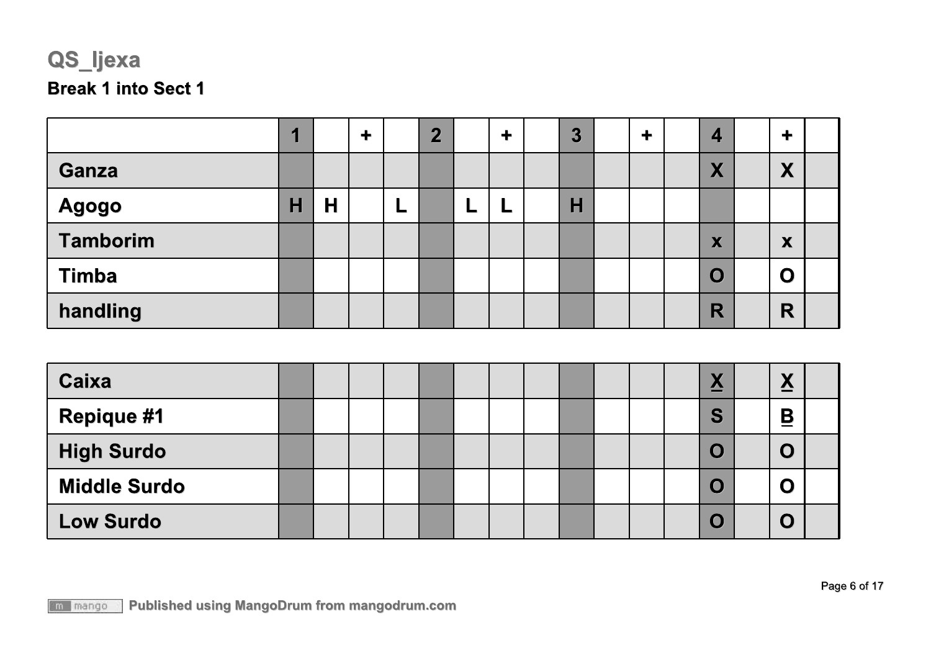# QS\_ljexa **Break 1 into Sect 1**

**Low Surdo** 

|                     | 1                       |   | $\ddot{\phantom{1}}$ |   | $\overline{2}$ |   | $\ddagger$ | $\overline{3}$ | $\ddot{\phantom{1}}$ | $\overline{\mathbf{4}}$  | $\ddot{\phantom{1}}$     |  |
|---------------------|-------------------------|---|----------------------|---|----------------|---|------------|----------------|----------------------|--------------------------|--------------------------|--|
| Ganza               |                         |   |                      |   |                |   |            |                |                      | X                        | X                        |  |
| <b>Agogo</b>        | $\overline{\mathsf{H}}$ | H |                      | L |                | L | L          | H              |                      |                          |                          |  |
| <b>Tamborim</b>     |                         |   |                      |   |                |   |            |                |                      | X                        | X                        |  |
| <b>Timba</b>        |                         |   |                      |   |                |   |            |                |                      | $\overline{O}$           | $\mathbf O$              |  |
| handling            |                         |   |                      |   |                |   |            |                |                      | R                        | R                        |  |
|                     |                         |   |                      |   |                |   |            |                |                      |                          |                          |  |
| <b>Caixa</b>        |                         |   |                      |   |                |   |            |                |                      | $\underline{\mathsf{X}}$ | $\underline{\mathbf{X}}$ |  |
| <b>Repique #1</b>   |                         |   |                      |   |                |   |            |                |                      | S                        | $\overline{\mathbf{B}}$  |  |
| <b>High Surdo</b>   |                         |   |                      |   |                |   |            |                |                      | $\mathbf O$              | $\mathbf O$              |  |
| <b>Middle Surdo</b> |                         |   |                      |   |                |   |            |                |                      | $\mathbf O$              | $\mathbf O$              |  |

**Published using MangoDrum from mangodrum.com** m mango

 $\overline{O}$ 

 $\overline{O}$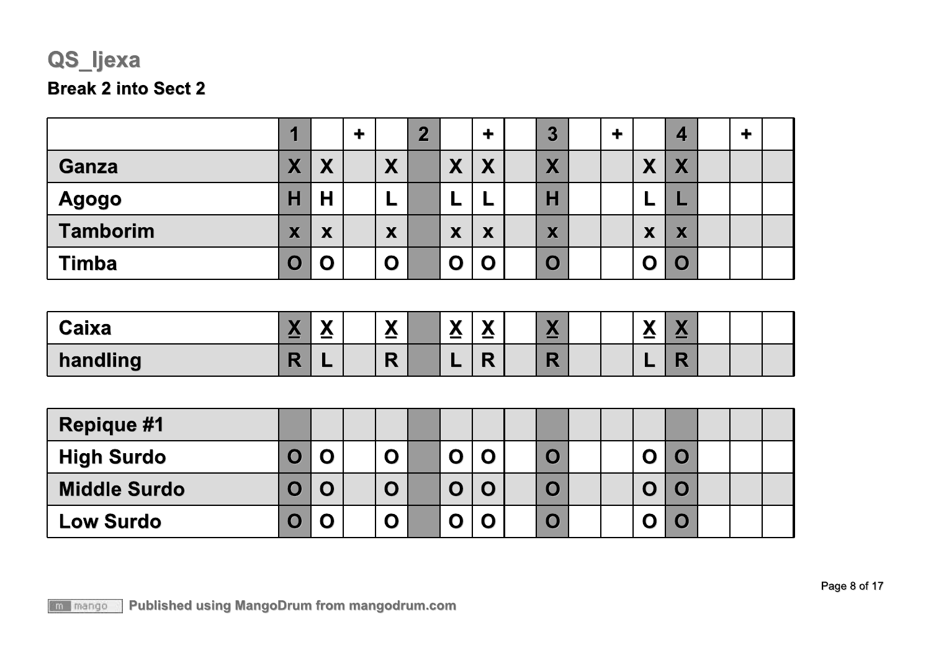### QS\_ljexa **Break 2 into Sect 2**

|                 |                               |              |             | m<br><b>College Street</b> |                             | ╈ | $\overline{3}$ |  |                                                | $\blacktriangle$                            |  |  |
|-----------------|-------------------------------|--------------|-------------|----------------------------|-----------------------------|---|----------------|--|------------------------------------------------|---------------------------------------------|--|--|
| <b>Ganza</b>    | M<br>$\boldsymbol{r}$         | X            | X           |                            | Y<br>$\boldsymbol{\Lambda}$ | X | X              |  | $\blacktriangledown$<br>$\boldsymbol{\Lambda}$ | $\overline{\mathbf{v}}$<br>$\boldsymbol{N}$ |  |  |
| <b>Agogo</b>    | Η                             | Н            | -           |                            |                             | − | $\mathsf{H}$   |  |                                                |                                             |  |  |
| <b>Tamborim</b> | v<br>$\overline{\phantom{a}}$ | X            | X           |                            | X                           | X | X              |  | X                                              | X                                           |  |  |
| <b>Timba</b>    |                               | $\mathbf{O}$ | $\mathbf O$ |                            | O                           | O | $\mathbf 0$    |  | O                                              | $\mathbf C$                                 |  |  |

| Caixa    | <b>.</b><br>◢◥<br>$\overline{\phantom{a}}$ | $\mathbf{v}$<br>$\boldsymbol{\Lambda}$ | $\mathbf{v}$<br>$\triangle$ | $\mathbf{v}$<br>$\triangle$ | $\mathbf{v}$<br>$\boldsymbol{\Lambda}$ | $\mathbf{v}$<br>$\bf \Delta$ |  | <b>A</b><br>--<br>$\equiv$ | $\blacksquare$<br>__ |  |  |
|----------|--------------------------------------------|----------------------------------------|-----------------------------|-----------------------------|----------------------------------------|------------------------------|--|----------------------------|----------------------|--|--|
| handling | . .                                        |                                        | $\blacksquare$<br>N         |                             | - -                                    | $\sim$<br>R                  |  |                            |                      |  |  |

| <b>Repique #1</b>   |   |   |  |             |  |  |  |  |  |
|---------------------|---|---|--|-------------|--|--|--|--|--|
| <b>High Surdo</b>   | O | O |  | O           |  |  |  |  |  |
| <b>Middle Surdo</b> | O | O |  | $\mathbf O$ |  |  |  |  |  |
| <b>Low Surdo</b>    | O | O |  |             |  |  |  |  |  |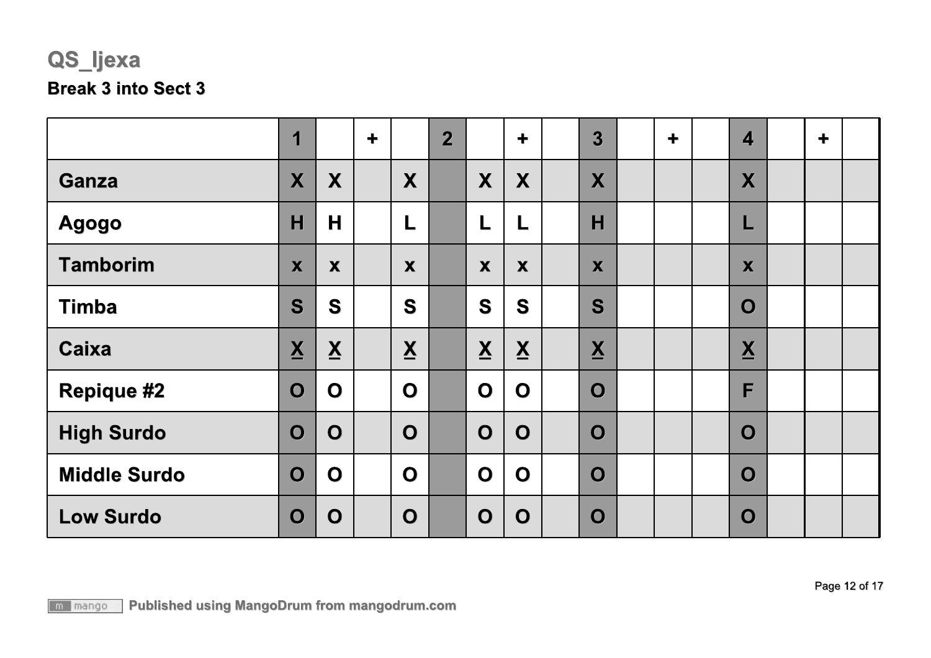## QS\_ljexa **Break 3 into Sect 3**

|                     | 1                        |                          | $\ddot{\phantom{1}}$ |                          | $\overline{2}$ |                          | $\ddot{\phantom{1}}$     | 3                        | $\ddagger$ | $\overline{\mathbf{4}}$  | $\ddagger$ |  |
|---------------------|--------------------------|--------------------------|----------------------|--------------------------|----------------|--------------------------|--------------------------|--------------------------|------------|--------------------------|------------|--|
| <b>Ganza</b>        | X                        | X                        |                      | X                        |                | X                        | X                        | X                        |            | X                        |            |  |
| <b>Agogo</b>        | H                        | H                        |                      | L                        |                | L                        | L                        | H                        |            |                          |            |  |
| <b>Tamborim</b>     | X                        | X                        |                      | X                        |                | X                        | X                        | X                        |            | X                        |            |  |
| <b>Timba</b>        | S                        | S                        |                      | S                        |                | S                        | S                        | S                        |            | $\mathbf O$              |            |  |
| <b>Caixa</b>        | $\underline{\mathsf{X}}$ | $\underline{\mathbf{X}}$ |                      | $\underline{\mathbf{X}}$ |                | $\underline{\mathsf{X}}$ | $\underline{\mathsf{X}}$ | $\underline{\mathsf{X}}$ |            | $\underline{\mathsf{X}}$ |            |  |
| <b>Repique #2</b>   | $\mathbf O$              | $\mathbf 0$              |                      | $\mathbf O$              |                | $\mathbf O$              | $\mathbf O$              | $\mathbf O$              |            | F                        |            |  |
| <b>High Surdo</b>   | $\mathbf O$              | $\mathbf O$              |                      | $\mathbf O$              |                | $\mathbf O$              | $\mathbf O$              | $\mathbf O$              |            | $\mathbf O$              |            |  |
| <b>Middle Surdo</b> | $\overline{O}$           | $\mathbf 0$              |                      | $\mathbf O$              |                | $\mathbf O$              | $\mathbf O$              | $\overline{O}$           |            | $\mathbf O$              |            |  |
| <b>Low Surdo</b>    | $\overline{O}$           | O                        |                      | $\mathbf O$              |                | O                        | $\mathbf O$              | $\mathbf O$              |            | $\mathbf O$              |            |  |